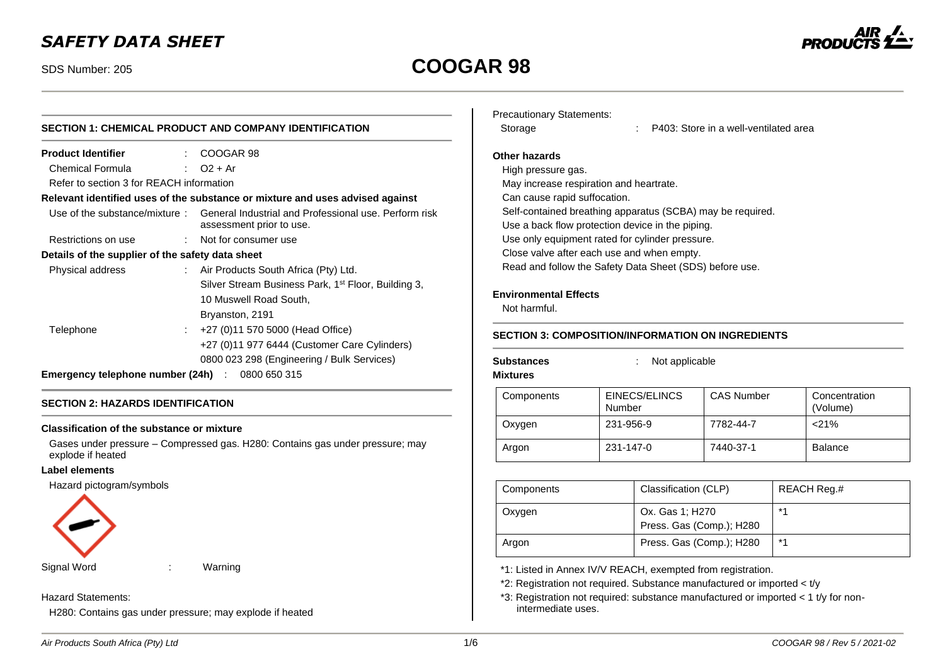## *SAFETY DATA SHEET*

# SDS Number: 205 **COOGAR 98**



### **SECTION 1: CHEMICAL PRODUCT AND COMPANY IDENTIFICATION Product Identifier** : COOGAR 98 Chemical Formula : O2 + Ar Refer to section 3 for REACH information **Relevant identified uses of the substance or mixture and uses advised against** Use of the substance/mixture : General Industrial and Professional use. Perform risk assessment prior to use. Restrictions on use : Not for consumer use **Details of the supplier of the safety data sheet** Physical address : Air Products South Africa (Pty) Ltd. Silver Stream Business Park, 1<sup>st</sup> Floor, Building 3, 10 Muswell Road South,

### Bryanston, 2191 Telephone : +27 (0)11 570 5000 (Head Office) +27 (0)11 977 6444 (Customer Care Cylinders) 0800 023 298 (Engineering / Bulk Services) **Emergency telephone number (24h)** : 0800 650 315

### **SECTION 2: HAZARDS IDENTIFICATION**

#### **Classification of the substance or mixture**

Gases under pressure – Compressed gas. H280: Contains gas under pressure; may explode if heated

#### **Label elements**

Hazard pictogram/symbols



Signal Word : Warning

#### Hazard Statements:

H280: Contains gas under pressure; may explode if heated

| Precautionary Statements: |  |  |
|---------------------------|--|--|
|---------------------------|--|--|

Storage : P403: Store in a well-ventilated area

#### **Other hazards**

High pressure gas. May increase respiration and heartrate. Can cause rapid suffocation. Self-contained breathing apparatus (SCBA) may be required. Use a back flow protection device in the piping. Use only equipment rated for cylinder pressure. Close valve after each use and when empty. Read and follow the Safety Data Sheet (SDS) before use.

#### **Environmental Effects**

Not harmful.

### **SECTION 3: COMPOSITION/INFORMATION ON INGREDIENTS**

**Mixtures**

**Substances** : Not applicable

| .          |                         |                   |                           |
|------------|-------------------------|-------------------|---------------------------|
| Components | EINECS/ELINCS<br>Number | <b>CAS Number</b> | Concentration<br>(Volume) |
| Oxygen     | 231-956-9               | 7782-44-7         | $<$ 21%                   |
| Argon      | 231-147-0               | 7440-37-1         | <b>Balance</b>            |

| Components | Classification (CLP)                        | REACH Reg.# |
|------------|---------------------------------------------|-------------|
| Oxygen     | Ox. Gas 1; H270<br>Press. Gas (Comp.); H280 | $*1$        |
| Argon      | Press. Gas (Comp.); H280                    | $*$ 4       |

\*1: Listed in Annex IV/V REACH, exempted from registration.

\*2: Registration not required. Substance manufactured or imported < t/y

\*3: Registration not required: substance manufactured or imported < 1 t/y for nonintermediate uses.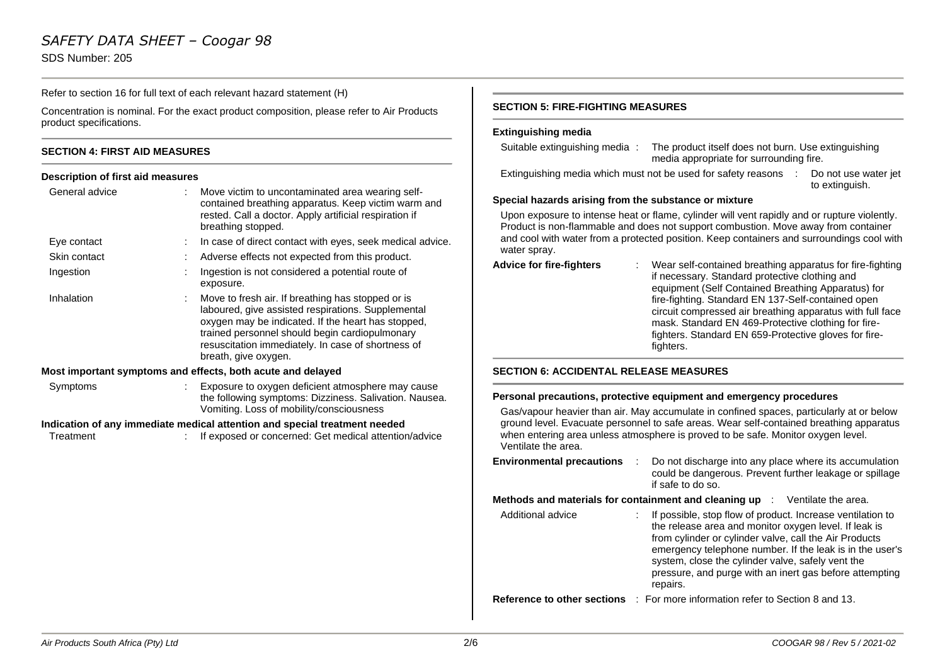### *SAFETY DATA SHEET – Coogar 98*

SDS Number: 205

Refer to section 16 for full text of each relevant hazard statement (H)

Concentration is nominal. For the exact product composition, please refer to Air Products product specifications.

#### **SECTION 4: FIRST AID MEASURES**

#### **Description of first aid measures**

| General advice                                                             |    | Move victim to uncontaminated area wearing self-<br>contained breathing apparatus. Keep victim warm and<br>rested. Call a doctor. Apply artificial respiration if<br>breathing stopped.                                                                                                       |  |  |
|----------------------------------------------------------------------------|----|-----------------------------------------------------------------------------------------------------------------------------------------------------------------------------------------------------------------------------------------------------------------------------------------------|--|--|
| Eye contact                                                                |    | In case of direct contact with eyes, seek medical advice.                                                                                                                                                                                                                                     |  |  |
| Skin contact                                                               | ÷  | Adverse effects not expected from this product.                                                                                                                                                                                                                                               |  |  |
| Ingestion                                                                  |    | Ingestion is not considered a potential route of<br>exposure.                                                                                                                                                                                                                                 |  |  |
| Inhalation                                                                 | ÷. | Move to fresh air. If breathing has stopped or is<br>laboured, give assisted respirations. Supplemental<br>oxygen may be indicated. If the heart has stopped,<br>trained personnel should begin cardiopulmonary<br>resuscitation immediately. In case of shortness of<br>breath, give oxygen. |  |  |
| Most important symptoms and effects, both acute and delayed                |    |                                                                                                                                                                                                                                                                                               |  |  |
| Symptoms                                                                   | ÷. | Exposure to oxygen deficient atmosphere may cause<br>the following symptoms: Dizziness. Salivation. Nausea.<br>Vomiting. Loss of mobility/consciousness                                                                                                                                       |  |  |
| Indication of any immediate medical attention and special treatment needed |    |                                                                                                                                                                                                                                                                                               |  |  |
| Treatment                                                                  |    | If exposed or concerned: Get medical attention/advice                                                                                                                                                                                                                                         |  |  |

#### **SECTION 5: FIRE-FIGHTING MEASURES**

#### **Extinguishing media**

| Suitable extinguishing media: | The product itself does not burn. Use extinguishing |
|-------------------------------|-----------------------------------------------------|
|                               | media appropriate for surrounding fire.             |

Extinguishing media which must not be used for safety reasons : Do not use water jet to extinguish.

#### **Special hazards arising from the substance or mixture**

Upon exposure to intense heat or flame, cylinder will vent rapidly and or rupture violently. Product is non-flammable and does not support combustion. Move away from container and cool with water from a protected position. Keep containers and surroundings cool with water spray.

| <b>Advice for fire-fighters</b> |  | Wear self-contained breathing apparatus for fire-fighting<br>if necessary. Standard protective clothing and<br>equipment (Self Contained Breathing Apparatus) for<br>fire-fighting. Standard EN 137-Self-contained open<br>circuit compressed air breathing apparatus with full face<br>mask. Standard EN 469-Protective clothing for fire-<br>fighters. Standard EN 659-Protective gloves for fire-<br>fighters. |
|---------------------------------|--|-------------------------------------------------------------------------------------------------------------------------------------------------------------------------------------------------------------------------------------------------------------------------------------------------------------------------------------------------------------------------------------------------------------------|
|---------------------------------|--|-------------------------------------------------------------------------------------------------------------------------------------------------------------------------------------------------------------------------------------------------------------------------------------------------------------------------------------------------------------------------------------------------------------------|

#### **SECTION 6: ACCIDENTAL RELEASE MEASURES**

#### **Personal precautions, protective equipment and emergency procedures**

Gas/vapour heavier than air. May accumulate in confined spaces, particularly at or below ground level. Evacuate personnel to safe areas. Wear self-contained breathing apparatus when entering area unless atmosphere is proved to be safe. Monitor oxygen level. Ventilate the area.

| <b>Environmental precautions</b> | Do not discharge into any place where its accumulation  |
|----------------------------------|---------------------------------------------------------|
|                                  | could be dangerous. Prevent further leakage or spillage |
|                                  | if safe to do so.                                       |

**Methods and materials for containment and cleaning up** : Ventilate the area.

Additional advice : If possible, stop flow of product. Increase ventilation to the release area and monitor oxygen level. If leak is from cylinder or cylinder valve, call the Air Products emergency telephone number. If the leak is in the user's system, close the cylinder valve, safely vent the pressure, and purge with an inert gas before attempting repairs.

**Reference to other sections** : For more information refer to Section 8 and 13.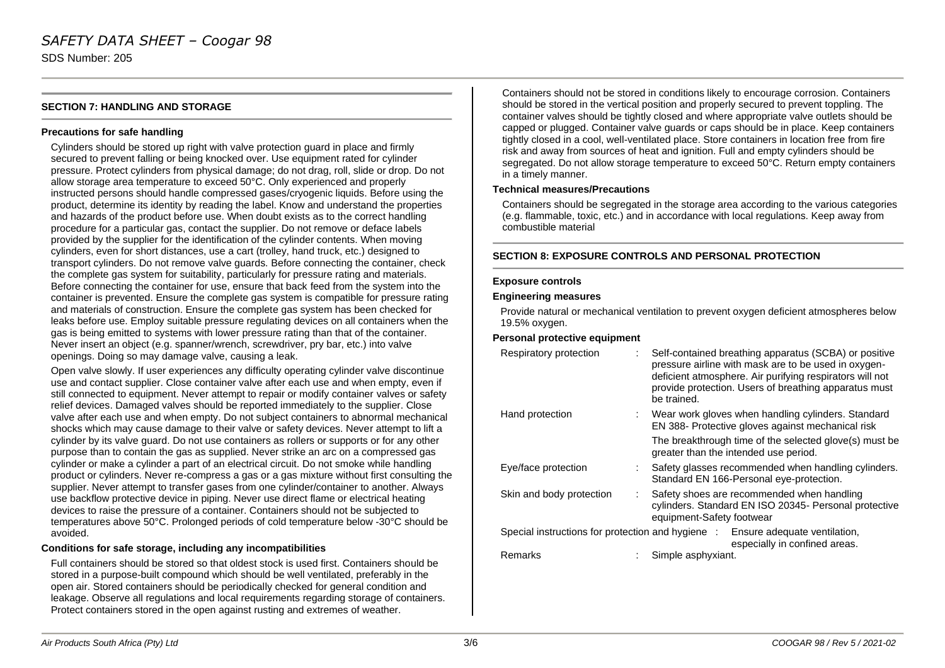### *SAFETY DATA SHEET – Coogar 98* SDS Number: 205

#### **SECTION 7: HANDLING AND STORAGE**

#### **Precautions for safe handling**

Cylinders should be stored up right with valve protection guard in place and firmly secured to prevent falling or being knocked over. Use equipment rated for cylinder pressure. Protect cylinders from physical damage; do not drag, roll, slide or drop. Do not allow storage area temperature to exceed 50°C. Only experienced and properly instructed persons should handle compressed gases/cryogenic liquids. Before using the product, determine its identity by reading the label. Know and understand the properties and hazards of the product before use. When doubt exists as to the correct handling procedure for a particular gas, contact the supplier. Do not remove or deface labels provided by the supplier for the identification of the cylinder contents. When moving cylinders, even for short distances, use a cart (trolley, hand truck, etc.) designed to transport cylinders. Do not remove valve guards. Before connecting the container, check the complete gas system for suitability, particularly for pressure rating and materials. Before connecting the container for use, ensure that back feed from the system into the container is prevented. Ensure the complete gas system is compatible for pressure rating and materials of construction. Ensure the complete gas system has been checked for leaks before use. Employ suitable pressure regulating devices on all containers when the gas is being emitted to systems with lower pressure rating than that of the container. Never insert an object (e.g. spanner/wrench, screwdriver, pry bar, etc.) into valve openings. Doing so may damage valve, causing a leak.

Open valve slowly. If user experiences any difficulty operating cylinder valve discontinue use and contact supplier. Close container valve after each use and when empty, even if still connected to equipment. Never attempt to repair or modify container valves or safety relief devices. Damaged valves should be reported immediately to the supplier. Close valve after each use and when empty. Do not subject containers to abnormal mechanical shocks which may cause damage to their valve or safety devices. Never attempt to lift a cylinder by its valve guard. Do not use containers as rollers or supports or for any other purpose than to contain the gas as supplied. Never strike an arc on a compressed gas cylinder or make a cylinder a part of an electrical circuit. Do not smoke while handling product or cylinders. Never re-compress a gas or a gas mixture without first consulting the supplier. Never attempt to transfer gases from one cylinder/container to another. Always use backflow protective device in piping. Never use direct flame or electrical heating devices to raise the pressure of a container. Containers should not be subjected to temperatures above 50°C. Prolonged periods of cold temperature below -30°C should be avoided.

#### **Conditions for safe storage, including any incompatibilities**

Full containers should be stored so that oldest stock is used first. Containers should be stored in a purpose-built compound which should be well ventilated, preferably in the open air. Stored containers should be periodically checked for general condition and leakage. Observe all regulations and local requirements regarding storage of containers. Protect containers stored in the open against rusting and extremes of weather.

Containers should not be stored in conditions likely to encourage corrosion. Containers should be stored in the vertical position and properly secured to prevent toppling. The container valves should be tightly closed and where appropriate valve outlets should be capped or plugged. Container valve guards or caps should be in place. Keep containers tightly closed in a cool, well-ventilated place. Store containers in location free from fire risk and away from sources of heat and ignition. Full and empty cylinders should be segregated. Do not allow storage temperature to exceed 50°C. Return empty containers in a timely manner.

#### **Technical measures/Precautions**

Containers should be segregated in the storage area according to the various categories (e.g. flammable, toxic, etc.) and in accordance with local regulations. Keep away from combustible material

#### **SECTION 8: EXPOSURE CONTROLS AND PERSONAL PROTECTION**

#### **Exposure controls**

#### **Engineering measures**

Provide natural or mechanical ventilation to prevent oxygen deficient atmospheres below 19.5% oxygen.

#### **Personal protective equipment**

| Respiratory protection   | Self-contained breathing apparatus (SCBA) or positive<br>pressure airline with mask are to be used in oxygen-<br>deficient atmosphere. Air purifying respirators will not<br>provide protection. Users of breathing apparatus must<br>be trained. |
|--------------------------|---------------------------------------------------------------------------------------------------------------------------------------------------------------------------------------------------------------------------------------------------|
| Hand protection          | Wear work gloves when handling cylinders. Standard<br>EN 388- Protective gloves against mechanical risk                                                                                                                                           |
|                          | The breakthrough time of the selected glove(s) must be<br>greater than the intended use period.                                                                                                                                                   |
| Eye/face protection      | Safety glasses recommended when handling cylinders.<br>Standard EN 166-Personal eye-protection.                                                                                                                                                   |
| Skin and body protection | Safety shoes are recommended when handling<br>cylinders. Standard EN ISO 20345- Personal protective<br>equipment-Safety footwear                                                                                                                  |
|                          | Special instructions for protection and hygiene : Ensure adequate ventilation,<br>especially in confined areas.                                                                                                                                   |
| Remarks                  | Simple asphyxiant.                                                                                                                                                                                                                                |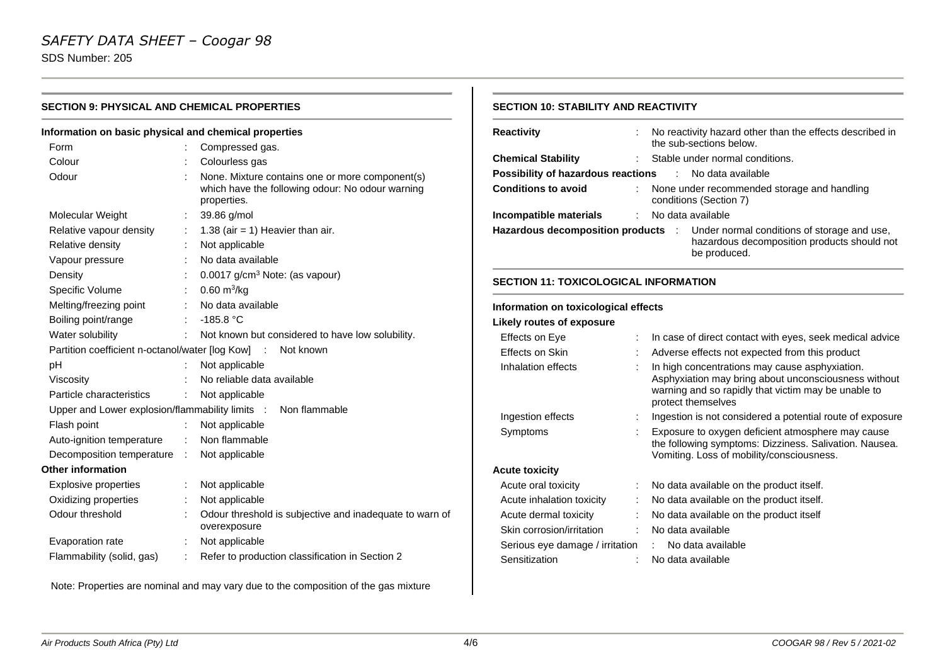SDS Number: 205

| Information on basic physical and chemical properties |    |                                                                                                                    |
|-------------------------------------------------------|----|--------------------------------------------------------------------------------------------------------------------|
| Form                                                  |    | Compressed gas.                                                                                                    |
| Colour                                                |    | Colourless gas                                                                                                     |
| Odour                                                 |    | None. Mixture contains one or more component(s)<br>which have the following odour: No odour warning<br>properties. |
| Molecular Weight                                      |    | 39.86 g/mol                                                                                                        |
| Relative vapour density                               |    | 1.38 (air = 1) Heavier than air.                                                                                   |
| Relative density                                      |    | Not applicable                                                                                                     |
| Vapour pressure                                       |    | No data available                                                                                                  |
| Density                                               |    | 0.0017 g/cm <sup>3</sup> Note: (as vapour)                                                                         |
| Specific Volume                                       |    | $0.60 \text{ m}^3/\text{kg}$                                                                                       |
| Melting/freezing point                                |    | No data available                                                                                                  |
| Boiling point/range                                   |    | $-185.8 °C$                                                                                                        |
| Water solubility                                      | ÷. | Not known but considered to have low solubility.                                                                   |
|                                                       |    | Partition coefficient n-octanol/water [log Kow] : Not known                                                        |
| рH                                                    |    | Not applicable                                                                                                     |
| Viscosity                                             |    | No reliable data available                                                                                         |
| Particle characteristics                              |    | Not applicable                                                                                                     |
| Upper and Lower explosion/flammability limits :       |    | Non flammable                                                                                                      |
| Flash point                                           |    | Not applicable                                                                                                     |
| Auto-ignition temperature                             | ÷  | Non flammable                                                                                                      |
| Decomposition temperature :                           |    | Not applicable                                                                                                     |
| <b>Other information</b>                              |    |                                                                                                                    |
| Explosive properties                                  | ÷. | Not applicable                                                                                                     |
| Oxidizing properties                                  |    | Not applicable                                                                                                     |
| Odour threshold                                       |    | Odour threshold is subjective and inadequate to warn of<br>overexposure                                            |
| Evaporation rate                                      | t. | Not applicable                                                                                                     |
| Flammability (solid, gas)                             | ÷  | Refer to production classification in Section 2                                                                    |

### **SECTION 10: STABILITY AND REACTIVITY**

| <b>Reactivity</b>                            |   | No reactivity hazard other than the effects described in<br>the sub-sections below.                                                                                                 |  |  |
|----------------------------------------------|---|-------------------------------------------------------------------------------------------------------------------------------------------------------------------------------------|--|--|
| <b>Chemical Stability</b>                    |   | Stable under normal conditions.                                                                                                                                                     |  |  |
| <b>Possibility of hazardous reactions</b>    |   | $\ddot{\cdot}$<br>No data available                                                                                                                                                 |  |  |
| <b>Conditions to avoid</b>                   |   | None under recommended storage and handling<br>conditions (Section 7)                                                                                                               |  |  |
| Incompatible materials                       | ÷ | No data available                                                                                                                                                                   |  |  |
| Hazardous decomposition products :           |   | Under normal conditions of storage and use,<br>hazardous decomposition products should not<br>be produced.                                                                          |  |  |
| <b>SECTION 11: TOXICOLOGICAL INFORMATION</b> |   |                                                                                                                                                                                     |  |  |
| Information on toxicological effects         |   |                                                                                                                                                                                     |  |  |
| <b>Likely routes of exposure</b>             |   |                                                                                                                                                                                     |  |  |
| Effects on Eye                               |   | In case of direct contact with eyes, seek medical advice                                                                                                                            |  |  |
| Effects on Skin                              |   | Adverse effects not expected from this product                                                                                                                                      |  |  |
| Inhalation effects                           |   | In high concentrations may cause asphyxiation.<br>Asphyxiation may bring about unconsciousness without<br>warning and so rapidly that victim may be unable to<br>protect themselves |  |  |
| Ingestion effects                            | ÷ | Ingestion is not considered a potential route of exposure                                                                                                                           |  |  |
| Symptoms                                     |   | Exposure to oxygen deficient atmosphere may cause<br>the following symptoms: Dizziness. Salivation. Nausea.<br>Vomiting. Loss of mobility/consciousness.                            |  |  |
| <b>Acute toxicity</b>                        |   |                                                                                                                                                                                     |  |  |
| Acute oral toxicity                          |   | No data available on the product itself.                                                                                                                                            |  |  |
| Acute inhalation toxicity                    |   | No data available on the product itself.                                                                                                                                            |  |  |
| Acute dermal toxicity                        |   | No data available on the product itself                                                                                                                                             |  |  |
| Skin corrosion/irritation                    |   | No data available                                                                                                                                                                   |  |  |
| Serious eye damage / irritation              |   | No data available                                                                                                                                                                   |  |  |
| Sensitization                                |   | No data available                                                                                                                                                                   |  |  |

Note: Properties are nominal and may vary due to the composition of the gas mixture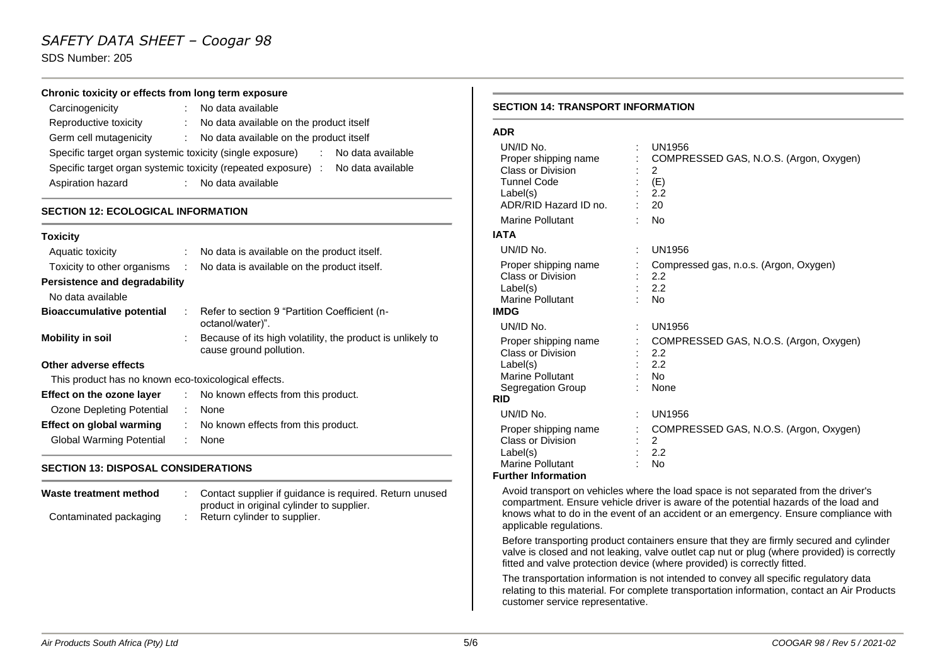### *SAFETY DATA SHEET – Coogar 98*

SDS Number: 205

#### **Chronic toxicity or effects from long term exposure**

| Carcinogenicity                                                                  |    | No data available                       |  |  |
|----------------------------------------------------------------------------------|----|-----------------------------------------|--|--|
| Reproductive toxicity                                                            |    | No data available on the product itself |  |  |
| Germ cell mutagenicity                                                           | ÷. | No data available on the product itself |  |  |
| Specific target organ systemic toxicity (single exposure)<br>: No data available |    |                                         |  |  |
| Specific target organ systemic toxicity (repeated exposure) : No data available  |    |                                         |  |  |
| Aspiration hazard                                                                |    | No data available                       |  |  |

#### **SECTION 12: ECOLOGICAL INFORMATION**

| <b>Toxicity</b>                                      |                |                                                                                       |  |  |
|------------------------------------------------------|----------------|---------------------------------------------------------------------------------------|--|--|
| Aquatic toxicity                                     |                | No data is available on the product itself.                                           |  |  |
| Toxicity to other organisms                          | $\sim 10^{-1}$ | No data is available on the product itself.                                           |  |  |
| Persistence and degradability                        |                |                                                                                       |  |  |
| No data available                                    |                |                                                                                       |  |  |
| <b>Bioaccumulative potential</b>                     | ÷.             | Refer to section 9 "Partition Coefficient (n-<br>octanol/water)".                     |  |  |
| <b>Mobility in soil</b>                              |                | Because of its high volatility, the product is unlikely to<br>cause ground pollution. |  |  |
| Other adverse effects                                |                |                                                                                       |  |  |
| This product has no known eco-toxicological effects. |                |                                                                                       |  |  |
| Effect on the ozone layer                            |                | : No known effects from this product.                                                 |  |  |
| Ozone Depleting Potential                            | ÷              | None                                                                                  |  |  |
| Effect on global warming                             |                | No known effects from this product.                                                   |  |  |

#### **SECTION 13: DISPOSAL CONSIDERATIONS**

Global Warming Potential : None

| Waste treatment method | Contact supplier if guidance is required. Return unused<br>product in original cylinder to supplier. |
|------------------------|------------------------------------------------------------------------------------------------------|
| Contaminated packaging | Return cylinder to supplier.                                                                         |

#### **SECTION 14: TRANSPORT INFORMATION**

| I |  |
|---|--|

| UN/ID No.<br>Proper shipping name<br>Class or Division<br><b>Tunnel Code</b><br>Label(s)<br>ADR/RID Hazard ID no. | UN1956<br>COMPRESSED GAS, N.O.S. (Argon, Oxygen)<br>2<br>(E)<br>2.2<br>20 |
|-------------------------------------------------------------------------------------------------------------------|---------------------------------------------------------------------------|
| Marine Pollutant                                                                                                  | <b>No</b>                                                                 |
| IATA                                                                                                              |                                                                           |
| UN/ID No.                                                                                                         | <b>UN1956</b>                                                             |
| Proper shipping name<br>Class or Division<br>Label(s)<br>Marine Pollutant                                         | Compressed gas, n.o.s. (Argon, Oxygen)<br>2.2<br>2.2<br><b>No</b>         |
| IMDG                                                                                                              |                                                                           |
| UN/ID No.                                                                                                         | UN1956                                                                    |
| Proper shipping name<br><b>Class or Division</b><br>Label(s)<br>Marine Pollutant<br>Segregation Group             | COMPRESSED GAS, N.O.S. (Argon, Oxygen)<br>2.2<br>2.2<br>No<br>None        |
| <b>RID</b>                                                                                                        |                                                                           |
| UN/ID No.                                                                                                         | <b>UN1956</b>                                                             |
| Proper shipping name<br>Class or Division<br>Label(s)<br>Marine Pollutant                                         | COMPRESSED GAS, N.O.S. (Argon, Oxygen)<br>2<br>2.2<br>No                  |

#### **Further Information**

Avoid transport on vehicles where the load space is not separated from the driver's compartment. Ensure vehicle driver is aware of the potential hazards of the load and knows what to do in the event of an accident or an emergency. Ensure compliance with applicable regulations.

Before transporting product containers ensure that they are firmly secured and cylinder valve is closed and not leaking, valve outlet cap nut or plug (where provided) is correctly fitted and valve protection device (where provided) is correctly fitted.

The transportation information is not intended to convey all specific regulatory data relating to this material. For complete transportation information, contact an Air Products customer service representative.